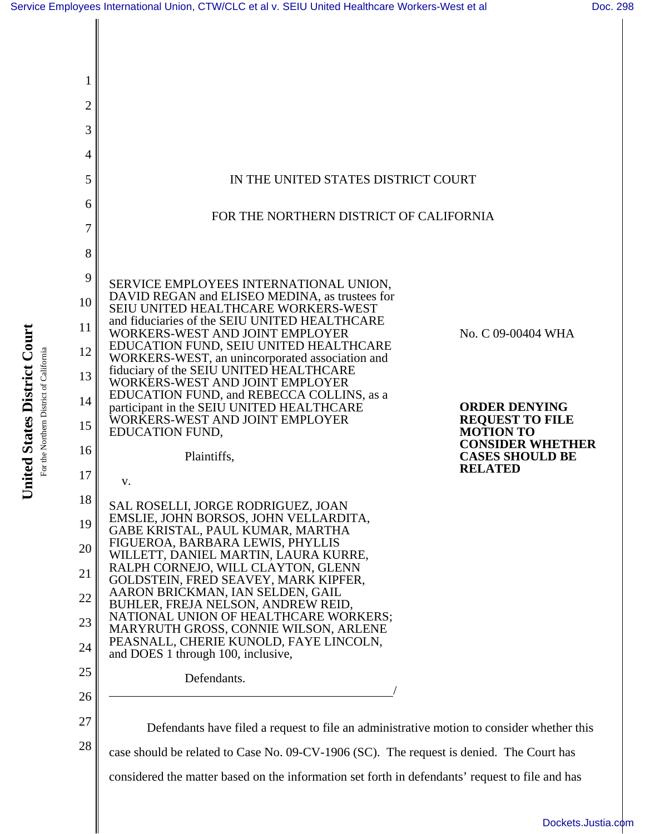